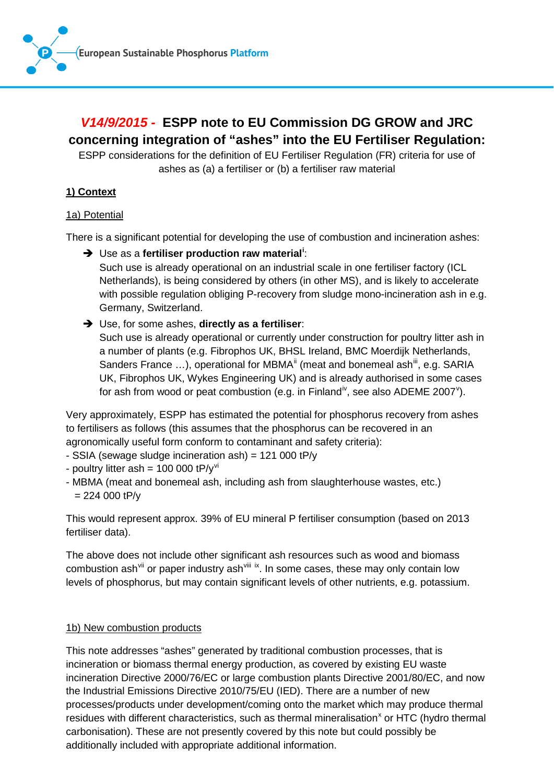

# *V14/9/2015 -* **ESPP note to EU Commission DG GROW and JRC concerning integration of "ashes" into the EU Fertiliser Regulation:**

ESPP considerations for the definition of EU Fertiliser Regulation (FR) criteria for use of ashes as (a) a fertiliser or (b) a fertiliser raw material

# **1) Context**

# 1a) Potential

There is a significant potential for developing the use of combustion and incineration ashes:

Use as a **fertiliser production raw material[i](#page-6-0)** :

Such use is already operational on an industrial scale in one fertiliser factory (ICL Netherlands), is being considered by others (in other MS), and is likely to accelerate with possible regulation obliging P-recovery from sludge mono-incineration ash in e.g. Germany, Switzerland.

→ Use, for some ashes, **directly as a fertiliser**:

Such use is already operational or currently under construction for poultry litter ash in a number of plants (e.g. Fibrophos UK, BHSL Ireland, BMC Moerdijk Netherlands, Sanders France  $\dots$ ), operational for MBMA<sup> $\parallel$ </sup> (meat and bonemeal ash $\parallel$ , e.g. SARIA UK, Fibrophos UK, Wykes Engineering UK) and is already authorised in some cases for ash from wood or peat combustion (e.g. in Finland<sup>i[v](#page-6-4)</sup>, see also ADEME 2007<sup>v</sup>).

Very approximately, ESPP has estimated the potential for phosphorus recovery from ashes to fertilisers as follows (this assumes that the phosphorus can be recovered in an agronomically useful form conform to contaminant and safety criteria):

- SSIA (sewage sludge incineration ash) = 121 000 tP/y
- poultry litter ash =  $100 000$  tP/y<sup>[vi](#page-6-5)</sup>
- MBMA (meat and bonemeal ash, including ash from slaughterhouse wastes, etc.)  $= 224 000 tP/v$

This would represent approx. 39% of EU mineral P fertiliser consumption (based on 2013 fertiliser data).

The above does not include other significant ash resources such as wood and biomass combustion ash<sup>[vii](#page-6-6)</sup> or paper industry ash<sup>[viii](#page-6-7) ix</sup>. In some cases, these may only contain low levels of phosphorus, but may contain significant levels of other nutrients, e.g. potassium.

# 1b) New combustion products

This note addresses "ashes" generated by traditional combustion processes, that is incineration or biomass thermal energy production, as covered by existing EU waste incineration Directive 2000/76/EC or large combustion plants Directive 2001/80/EC, and now the Industrial Emissions Directive 2010/75/EU (IED). There are a number of new processes/products under development/coming onto the market which may produce thermal residues with different characteristics, such as thermal mineralisation<sup>[x](#page-6-9)</sup> or HTC (hydro thermal carbonisation). These are not presently covered by this note but could possibly be additionally included with appropriate additional information.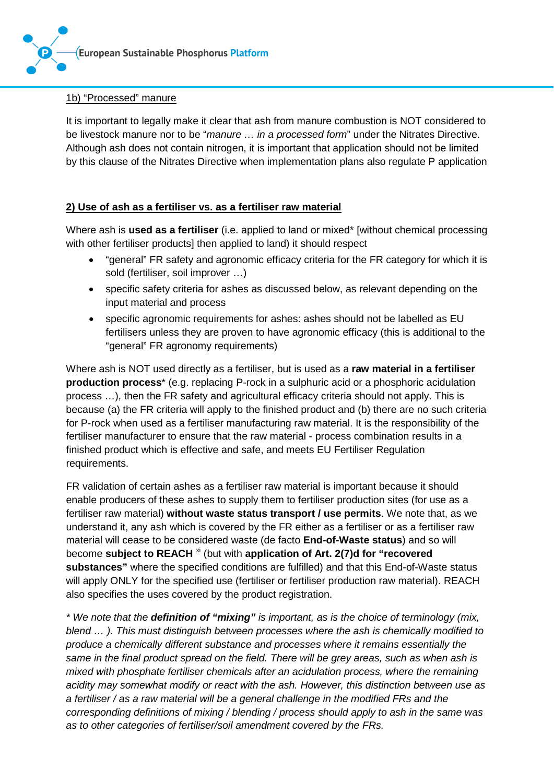

#### 1b) "Processed" manure

It is important to legally make it clear that ash from manure combustion is NOT considered to be livestock manure nor to be "*manure … in a processed form*" under the Nitrates Directive. Although ash does not contain nitrogen, it is important that application should not be limited by this clause of the Nitrates Directive when implementation plans also regulate P application

# **2) Use of ash as a fertiliser vs. as a fertiliser raw material**

Where ash is **used as a fertiliser** (i.e. applied to land or mixed\* [without chemical processing with other fertiliser products] then applied to land) it should respect

- "general" FR safety and agronomic efficacy criteria for the FR category for which it is sold (fertiliser, soil improver …)
- specific safety criteria for ashes as discussed below, as relevant depending on the input material and process
- specific agronomic requirements for ashes: ashes should not be labelled as EU fertilisers unless they are proven to have agronomic efficacy (this is additional to the "general" FR agronomy requirements)

Where ash is NOT used directly as a fertiliser, but is used as a **raw material in a fertiliser production process**\* (e.g. replacing P-rock in a sulphuric acid or a phosphoric acidulation process …), then the FR safety and agricultural efficacy criteria should not apply. This is because (a) the FR criteria will apply to the finished product and (b) there are no such criteria for P-rock when used as a fertiliser manufacturing raw material. It is the responsibility of the fertiliser manufacturer to ensure that the raw material - process combination results in a finished product which is effective and safe, and meets EU Fertiliser Regulation requirements.

FR validation of certain ashes as a fertiliser raw material is important because it should enable producers of these ashes to supply them to fertiliser production sites (for use as a fertiliser raw material) **without waste status transport / use permits**. We note that, as we understand it, any ash which is covered by the FR either as a fertiliser or as a fertiliser raw material will cease to be considered waste (de facto **End-of-Waste status**) and so will become **subject to REACH** [xi](#page-6-10) (but with **application of Art. 2(7)d for "recovered substances"** where the specified conditions are fulfilled) and that this End-of-Waste status will apply ONLY for the specified use (fertiliser or fertiliser production raw material). REACH also specifies the uses covered by the product registration.

*\* We note that the definition of "mixing" is important, as is the choice of terminology (mix, blend … ). This must distinguish between processes where the ash is chemically modified to produce a chemically different substance and processes where it remains essentially the same in the final product spread on the field. There will be grey areas, such as when ash is mixed with phosphate fertiliser chemicals after an acidulation process, where the remaining acidity may somewhat modify or react with the ash. However, this distinction between use as a fertiliser / as a raw material will be a general challenge in the modified FRs and the corresponding definitions of mixing / blending / process should apply to ash in the same was as to other categories of fertiliser/soil amendment covered by the FRs.*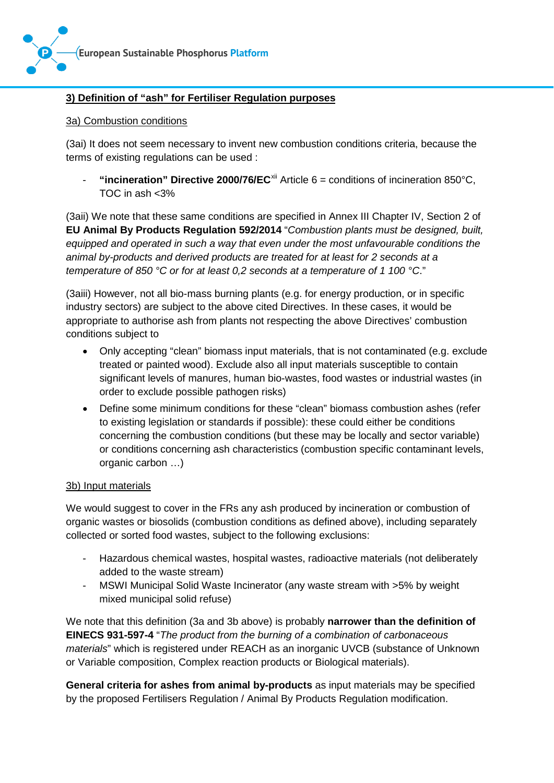

# **3) Definition of "ash" for Fertiliser Regulation purposes**

#### 3a) Combustion conditions

(3ai) It does not seem necessary to invent new combustion conditions criteria, because the terms of existing regulations can be used :

- **"incineration" Directive 2000/76/EC**[xii](#page-6-11) Article 6 = conditions of incineration 850°C, TOC in ash <3%

(3aii) We note that these same conditions are specified in Annex III Chapter IV, Section 2 of **EU Animal By Products Regulation 592/2014** "*Combustion plants must be designed, built, equipped and operated in such a way that even under the most unfavourable conditions the animal by-products and derived products are treated for at least for 2 seconds at a temperature of 850 °C or for at least 0,2 seconds at a temperature of 1 100 °C*."

(3aiii) However, not all bio-mass burning plants (e.g. for energy production, or in specific industry sectors) are subject to the above cited Directives. In these cases, it would be appropriate to authorise ash from plants not respecting the above Directives' combustion conditions subject to

- Only accepting "clean" biomass input materials, that is not contaminated (e.g. exclude treated or painted wood). Exclude also all input materials susceptible to contain significant levels of manures, human bio-wastes, food wastes or industrial wastes (in order to exclude possible pathogen risks)
- Define some minimum conditions for these "clean" biomass combustion ashes (refer to existing legislation or standards if possible): these could either be conditions concerning the combustion conditions (but these may be locally and sector variable) or conditions concerning ash characteristics (combustion specific contaminant levels, organic carbon …)

## 3b) Input materials

We would suggest to cover in the FRs any ash produced by incineration or combustion of organic wastes or biosolids (combustion conditions as defined above), including separately collected or sorted food wastes, subject to the following exclusions:

- Hazardous chemical wastes, hospital wastes, radioactive materials (not deliberately added to the waste stream)
- MSWI Municipal Solid Waste Incinerator (any waste stream with >5% by weight mixed municipal solid refuse)

We note that this definition (3a and 3b above) is probably **narrower than the definition of EINECS 931-597-4** "*The product from the burning of a combination of carbonaceous materials*" which is registered under REACH as an inorganic UVCB (substance of Unknown or Variable composition, Complex reaction products or Biological materials).

**General criteria for ashes from animal by-products** as input materials may be specified by the proposed Fertilisers Regulation / Animal By Products Regulation modification.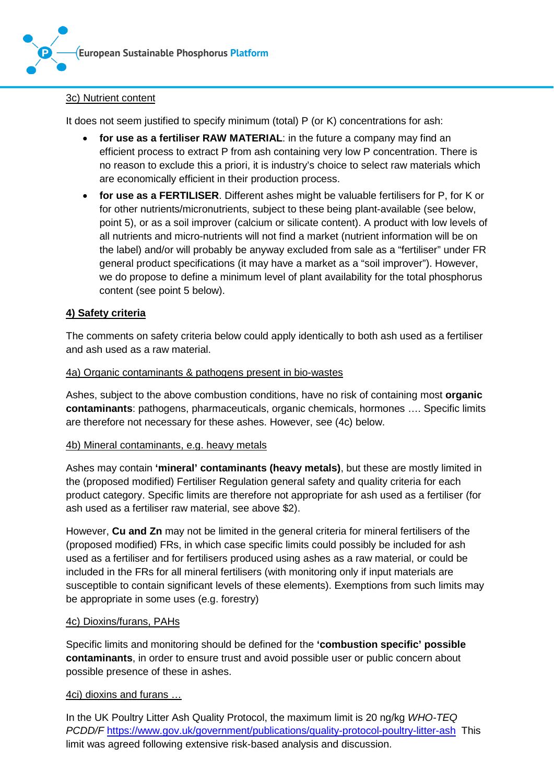

# 3c) Nutrient content

It does not seem justified to specify minimum (total) P (or K) concentrations for ash:

- **for use as a fertiliser RAW MATERIAL**: in the future a company may find an efficient process to extract P from ash containing very low P concentration. There is no reason to exclude this a priori, it is industry's choice to select raw materials which are economically efficient in their production process.
- **for use as a FERTILISER**. Different ashes might be valuable fertilisers for P, for K or for other nutrients/micronutrients, subject to these being plant-available (see below, point 5), or as a soil improver (calcium or silicate content). A product with low levels of all nutrients and micro-nutrients will not find a market (nutrient information will be on the label) and/or will probably be anyway excluded from sale as a "fertiliser" under FR general product specifications (it may have a market as a "soil improver"). However, we do propose to define a minimum level of plant availability for the total phosphorus content (see point 5 below).

# **4) Safety criteria**

The comments on safety criteria below could apply identically to both ash used as a fertiliser and ash used as a raw material.

#### 4a) Organic contaminants & pathogens present in bio-wastes

Ashes, subject to the above combustion conditions, have no risk of containing most **organic contaminants**: pathogens, pharmaceuticals, organic chemicals, hormones …. Specific limits are therefore not necessary for these ashes. However, see (4c) below.

#### 4b) Mineral contaminants, e.g. heavy metals

Ashes may contain **'mineral' contaminants (heavy metals)**, but these are mostly limited in the (proposed modified) Fertiliser Regulation general safety and quality criteria for each product category. Specific limits are therefore not appropriate for ash used as a fertiliser (for ash used as a fertiliser raw material, see above \$2).

However, **Cu and Zn** may not be limited in the general criteria for mineral fertilisers of the (proposed modified) FRs, in which case specific limits could possibly be included for ash used as a fertiliser and for fertilisers produced using ashes as a raw material, or could be included in the FRs for all mineral fertilisers (with monitoring only if input materials are susceptible to contain significant levels of these elements). Exemptions from such limits may be appropriate in some uses (e.g. forestry)

#### 4c) Dioxins/furans, PAHs

Specific limits and monitoring should be defined for the **'combustion specific' possible contaminants**, in order to ensure trust and avoid possible user or public concern about possible presence of these in ashes.

#### 4ci) dioxins and furans …

In the UK Poultry Litter Ash Quality Protocol, the maximum limit is 20 ng/kg *WHO-TEQ PCDD/F* <https://www.gov.uk/government/publications/quality-protocol-poultry-litter-ash>This limit was agreed following extensive risk-based analysis and discussion.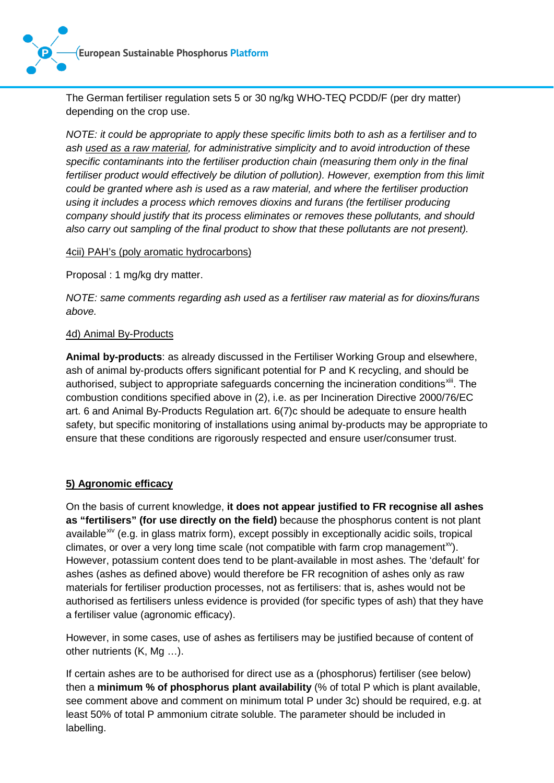**[European Sustainable Phosphorus](http://www.phosphorusplatform.eu) Platform**



The German fertiliser regulation sets 5 or 30 ng/kg WHO-TEQ PCDD/F (per dry matter) depending on the crop use.

*NOTE: it could be appropriate to apply these specific limits both to ash as a fertiliser and to ash used as a raw material, for administrative simplicity and to avoid introduction of these specific contaminants into the fertiliser production chain (measuring them only in the final* fertiliser product would effectively be dilution of pollution). However, exemption from this limit *could be granted where ash is used as a raw material, and where the fertiliser production using it includes a process which removes dioxins and furans (the fertiliser producing company should justify that its process eliminates or removes these pollutants, and should also carry out sampling of the final product to show that these pollutants are not present).*

#### 4cii) PAH's (poly aromatic hydrocarbons)

Proposal : 1 mg/kg dry matter.

*NOTE: same comments regarding ash used as a fertiliser raw material as for dioxins/furans above.*

#### 4d) Animal By-Products

**Animal by-products**: as already discussed in the Fertiliser Working Group and elsewhere, ash of animal by-products offers significant potential for P and K recycling, and should be authorised, subject to appropriate safeguards concerning the incineration conditions<sup>[xiii](#page-6-12)</sup>. The combustion conditions specified above in (2), i.e. as per Incineration Directive 2000/76/EC art. 6 and Animal By-Products Regulation art. 6(7)c should be adequate to ensure health safety, but specific monitoring of installations using animal by-products may be appropriate to ensure that these conditions are rigorously respected and ensure user/consumer trust.

## **5) Agronomic efficacy**

On the basis of current knowledge, **it does not appear justified to FR recognise all ashes as "fertilisers" (for use directly on the field)** because the phosphorus content is not plant available<sup>[xiv](#page-6-13)</sup> (e.g. in glass matrix form), except possibly in exceptionally acidic soils, tropical climates, or over a very long time scale (not compatible with farm crop management $x$ ). However, potassium content does tend to be plant-available in most ashes. The 'default' for ashes (ashes as defined above) would therefore be FR recognition of ashes only as raw materials for fertiliser production processes, not as fertilisers: that is, ashes would not be authorised as fertilisers unless evidence is provided (for specific types of ash) that they have a fertiliser value (agronomic efficacy).

However, in some cases, use of ashes as fertilisers may be justified because of content of other nutrients (K, Mg …).

If certain ashes are to be authorised for direct use as a (phosphorus) fertiliser (see below) then a **minimum % of phosphorus plant availability** (% of total P which is plant available, see comment above and comment on minimum total P under 3c) should be required, e.g. at least 50% of total P ammonium citrate soluble. The parameter should be included in labelling.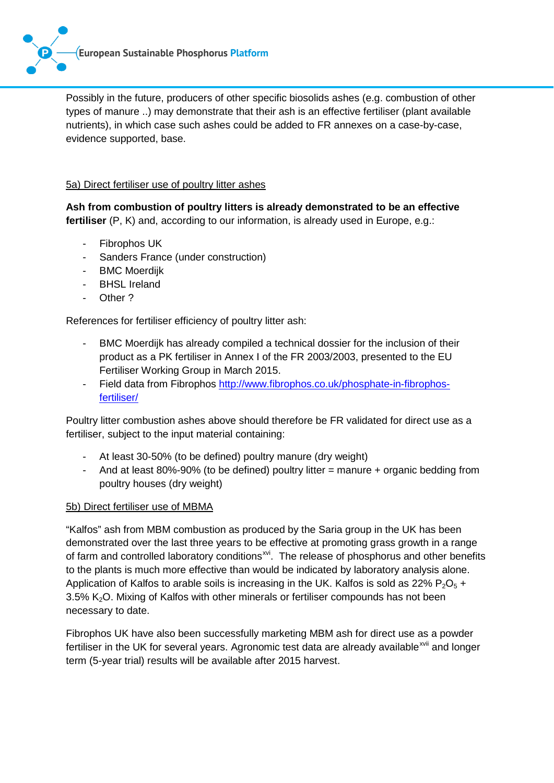

Possibly in the future, producers of other specific biosolids ashes (e.g. combustion of other types of manure ..) may demonstrate that their ash is an effective fertiliser (plant available nutrients), in which case such ashes could be added to FR annexes on a case-by-case, evidence supported, base.

# 5a) Direct fertiliser use of poultry litter ashes

**Ash from combustion of poultry litters is already demonstrated to be an effective fertiliser** (P, K) and, according to our information, is already used in Europe, e.g.:

- Fibrophos UK
- Sanders France (under construction)
- BMC Moerdijk
- BHSL Ireland
- Other ?

References for fertiliser efficiency of poultry litter ash:

- BMC Moerdijk has already compiled a technical dossier for the inclusion of their product as a PK fertiliser in Annex I of the FR 2003/2003, presented to the EU Fertiliser Working Group in March 2015.
- Field data from Fibrophos [http://www.fibrophos.co.uk/phosphate-in-fibrophos](http://www.fibrophos.co.uk/phosphate-in-fibrophos-fertiliser/)[fertiliser/](http://www.fibrophos.co.uk/phosphate-in-fibrophos-fertiliser/)

Poultry litter combustion ashes above should therefore be FR validated for direct use as a fertiliser, subject to the input material containing:

- At least 30-50% (to be defined) poultry manure (dry weight)
- And at least 80%-90% (to be defined) poultry litter  $=$  manure  $+$  organic bedding from poultry houses (dry weight)

## 5b) Direct fertiliser use of MBMA

"Kalfos" ash from MBM combustion as produced by the Saria group in the UK has been demonstrated over the last three years to be effective at promoting grass growth in a range of farm and controlled laboratory conditions<sup>xyi</sup>. The release of phosphorus and other benefits to the plants is much more effective than would be indicated by laboratory analysis alone. Application of Kalfos to arable soils is increasing in the UK. Kalfos is sold as 22%  $P_2O_5$  + 3.5% K<sub>2</sub>O. Mixing of Kalfos with other minerals or fertiliser compounds has not been necessary to date.

Fibrophos UK have also been successfully marketing MBM ash for direct use as a powder fertiliser in the UK for several years. Agronomic test data are already available<sup>[xvii](#page-6-16)</sup> and longer term (5-year trial) results will be available after 2015 harvest.